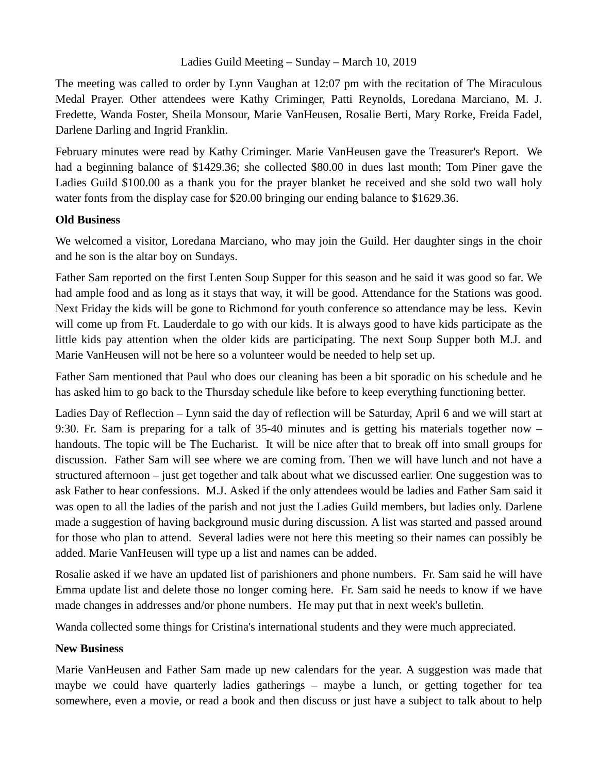## Ladies Guild Meeting – Sunday – March 10, 2019

The meeting was called to order by Lynn Vaughan at 12:07 pm with the recitation of The Miraculous Medal Prayer. Other attendees were Kathy Criminger, Patti Reynolds, Loredana Marciano, M. J. Fredette, Wanda Foster, Sheila Monsour, Marie VanHeusen, Rosalie Berti, Mary Rorke, Freida Fadel, Darlene Darling and Ingrid Franklin.

February minutes were read by Kathy Criminger. Marie VanHeusen gave the Treasurer's Report. We had a beginning balance of \$1429.36; she collected \$80.00 in dues last month; Tom Piner gave the Ladies Guild \$100.00 as a thank you for the prayer blanket he received and she sold two wall holy water fonts from the display case for \$20.00 bringing our ending balance to \$1629.36.

## **Old Business**

We welcomed a visitor, Loredana Marciano, who may join the Guild. Her daughter sings in the choir and he son is the altar boy on Sundays.

Father Sam reported on the first Lenten Soup Supper for this season and he said it was good so far. We had ample food and as long as it stays that way, it will be good. Attendance for the Stations was good. Next Friday the kids will be gone to Richmond for youth conference so attendance may be less. Kevin will come up from Ft. Lauderdale to go with our kids. It is always good to have kids participate as the little kids pay attention when the older kids are participating. The next Soup Supper both M.J. and Marie VanHeusen will not be here so a volunteer would be needed to help set up.

Father Sam mentioned that Paul who does our cleaning has been a bit sporadic on his schedule and he has asked him to go back to the Thursday schedule like before to keep everything functioning better.

Ladies Day of Reflection – Lynn said the day of reflection will be Saturday, April 6 and we will start at 9:30. Fr. Sam is preparing for a talk of 35-40 minutes and is getting his materials together now – handouts. The topic will be The Eucharist. It will be nice after that to break off into small groups for discussion. Father Sam will see where we are coming from. Then we will have lunch and not have a structured afternoon – just get together and talk about what we discussed earlier. One suggestion was to ask Father to hear confessions. M.J. Asked if the only attendees would be ladies and Father Sam said it was open to all the ladies of the parish and not just the Ladies Guild members, but ladies only. Darlene made a suggestion of having background music during discussion. A list was started and passed around for those who plan to attend. Several ladies were not here this meeting so their names can possibly be added. Marie VanHeusen will type up a list and names can be added.

Rosalie asked if we have an updated list of parishioners and phone numbers. Fr. Sam said he will have Emma update list and delete those no longer coming here. Fr. Sam said he needs to know if we have made changes in addresses and/or phone numbers. He may put that in next week's bulletin.

Wanda collected some things for Cristina's international students and they were much appreciated.

## **New Business**

Marie VanHeusen and Father Sam made up new calendars for the year. A suggestion was made that maybe we could have quarterly ladies gatherings – maybe a lunch, or getting together for tea somewhere, even a movie, or read a book and then discuss or just have a subject to talk about to help